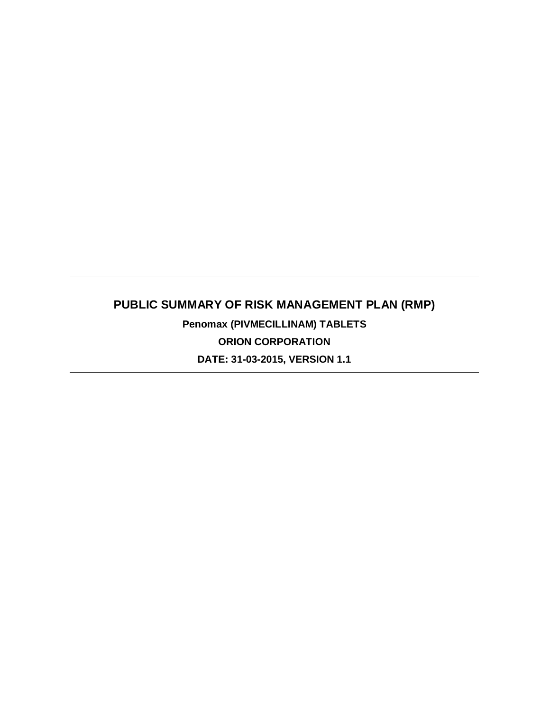# **PUBLIC SUMMARY OF RISK MANAGEMENT PLAN (RMP) Penomax (PIVMECILLINAM) TABLETS**

**ORION CORPORATION DATE: 31-03-2015, VERSION 1.1**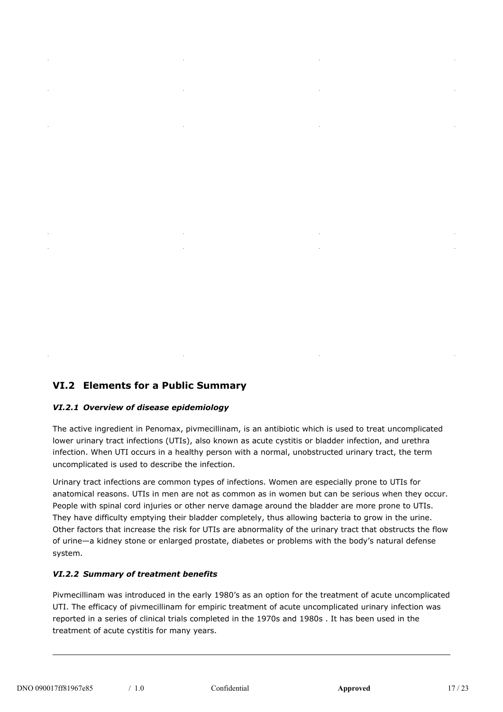# **VI.2 Elements for a Public Summary**

#### *VI.2.1 Overview of disease epidemiology*

The active ingredient in Penomax, pivmecillinam, is an antibiotic which is used to treat uncomplicated lower urinary tract infections (UTIs), also known as acute cystitis or bladder infection, and urethra infection. When UTI occurs in a healthy person with a normal, unobstructed urinary tract, the term uncomplicated is used to describe the infection.

Urinary tract infections are common types of infections. Women are especially prone to UTIs for anatomical reasons. UTIs in men are not as common as in women but can be serious when they occur. People with spinal cord injuries or other nerve damage around the bladder are more prone to UTIs. They have difficulty emptying their bladder completely, thus allowing bacteria to grow in the urine. Other factors that increase the risk for UTIs are abnormality of the urinary tract that obstructs the flow of urine—a kidney stone or enlarged prostate, diabetes or problems with the body's natural defense system.

#### *VI.2.2 Summary of treatment benefits*

Pivmecillinam was introduced in the early 1980's as an option for the treatment of acute uncomplicated UTI. The efficacy of pivmecillinam for empiric treatment of acute uncomplicated urinary infection was reported in a series of clinical trials completed in the 1970s and 1980s . It has been used in the treatment of acute cystitis for many years.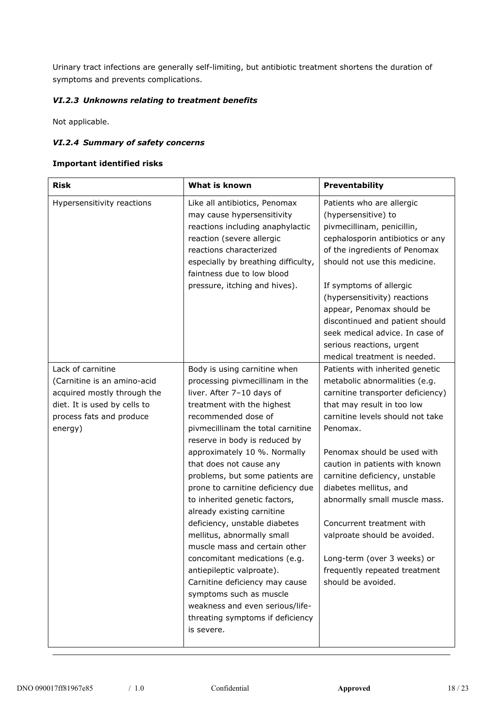Urinary tract infections are generally self-limiting, but antibiotic treatment shortens the duration of symptoms and prevents complications.

### *VI.2.3 Unknowns relating to treatment benefits*

Not applicable.

#### *VI.2.4 Summary of safety concerns*

#### **Important identified risks**

| <b>Risk</b>                                                                                                                       | What is known                                                                                                                                                                                                                                                                                                                                                                                                                                                                                                                                                                                                                                                                                             | Preventability                                                                                                                                                                                                                                                                                                                                                                                                                                                    |  |
|-----------------------------------------------------------------------------------------------------------------------------------|-----------------------------------------------------------------------------------------------------------------------------------------------------------------------------------------------------------------------------------------------------------------------------------------------------------------------------------------------------------------------------------------------------------------------------------------------------------------------------------------------------------------------------------------------------------------------------------------------------------------------------------------------------------------------------------------------------------|-------------------------------------------------------------------------------------------------------------------------------------------------------------------------------------------------------------------------------------------------------------------------------------------------------------------------------------------------------------------------------------------------------------------------------------------------------------------|--|
| Hypersensitivity reactions                                                                                                        | Like all antibiotics, Penomax<br>may cause hypersensitivity<br>reactions including anaphylactic<br>reaction (severe allergic<br>reactions characterized<br>especially by breathing difficulty,<br>faintness due to low blood<br>pressure, itching and hives).                                                                                                                                                                                                                                                                                                                                                                                                                                             | Patients who are allergic<br>(hypersensitive) to<br>pivmecillinam, penicillin,<br>cephalosporin antibiotics or any<br>of the ingredients of Penomax<br>should not use this medicine.<br>If symptoms of allergic<br>(hypersensitivity) reactions<br>appear, Penomax should be<br>discontinued and patient should<br>seek medical advice. In case of<br>serious reactions, urgent<br>medical treatment is needed.                                                   |  |
| Lack of carnitine                                                                                                                 | Body is using carnitine when                                                                                                                                                                                                                                                                                                                                                                                                                                                                                                                                                                                                                                                                              | Patients with inherited genetic                                                                                                                                                                                                                                                                                                                                                                                                                                   |  |
| (Carnitine is an amino-acid<br>acquired mostly through the<br>diet. It is used by cells to<br>process fats and produce<br>energy) | processing pivmecillinam in the<br>liver. After 7-10 days of<br>treatment with the highest<br>recommended dose of<br>pivmecillinam the total carnitine<br>reserve in body is reduced by<br>approximately 10 %. Normally<br>that does not cause any<br>problems, but some patients are<br>prone to carnitine deficiency due<br>to inherited genetic factors,<br>already existing carnitine<br>deficiency, unstable diabetes<br>mellitus, abnormally small<br>muscle mass and certain other<br>concomitant medications (e.g.<br>antiepileptic valproate).<br>Carnitine deficiency may cause<br>symptoms such as muscle<br>weakness and even serious/life-<br>threating symptoms if deficiency<br>is severe. | metabolic abnormalities (e.g.<br>carnitine transporter deficiency)<br>that may result in too low<br>carnitine levels should not take<br>Penomax.<br>Penomax should be used with<br>caution in patients with known<br>carnitine deficiency, unstable<br>diabetes mellitus, and<br>abnormally small muscle mass.<br>Concurrent treatment with<br>valproate should be avoided.<br>Long-term (over 3 weeks) or<br>frequently repeated treatment<br>should be avoided. |  |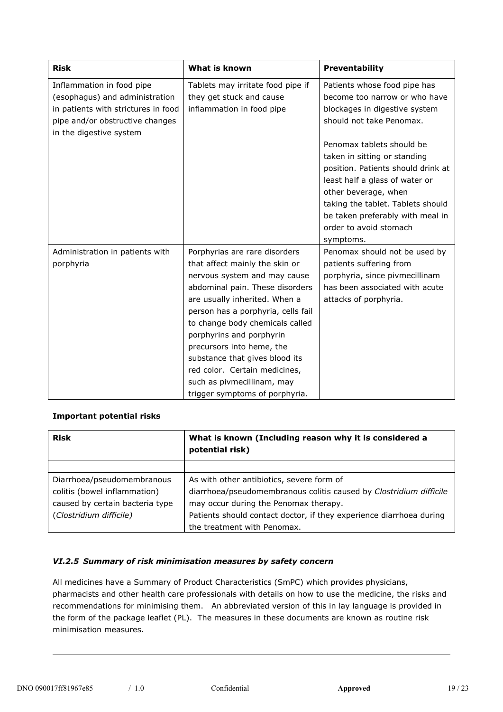| <b>Risk</b>                         | What is known                      | Preventability                     |
|-------------------------------------|------------------------------------|------------------------------------|
| Inflammation in food pipe           | Tablets may irritate food pipe if  | Patients whose food pipe has       |
| (esophagus) and administration      | they get stuck and cause           | become too narrow or who have      |
| in patients with strictures in food | inflammation in food pipe          | blockages in digestive system      |
| pipe and/or obstructive changes     |                                    | should not take Penomax.           |
| in the digestive system             |                                    |                                    |
|                                     |                                    | Penomax tablets should be          |
|                                     |                                    | taken in sitting or standing       |
|                                     |                                    | position. Patients should drink at |
|                                     |                                    | least half a glass of water or     |
|                                     |                                    | other beverage, when               |
|                                     |                                    | taking the tablet. Tablets should  |
|                                     |                                    | be taken preferably with meal in   |
|                                     |                                    | order to avoid stomach             |
|                                     |                                    | symptoms.                          |
| Administration in patients with     | Porphyrias are rare disorders      | Penomax should not be used by      |
| porphyria                           | that affect mainly the skin or     | patients suffering from            |
|                                     | nervous system and may cause       | porphyria, since pivmecillinam     |
|                                     | abdominal pain. These disorders    | has been associated with acute     |
|                                     | are usually inherited. When a      | attacks of porphyria.              |
|                                     | person has a porphyria, cells fail |                                    |
|                                     | to change body chemicals called    |                                    |
|                                     | porphyrins and porphyrin           |                                    |
|                                     | precursors into heme, the          |                                    |
|                                     | substance that gives blood its     |                                    |
|                                     | red color. Certain medicines,      |                                    |
|                                     | such as pivmecillinam, may         |                                    |
|                                     | trigger symptoms of porphyria.     |                                    |

# **Important potential risks**

| <b>Risk</b>                     | What is known (Including reason why it is considered a<br>potential risk) |  |
|---------------------------------|---------------------------------------------------------------------------|--|
|                                 |                                                                           |  |
| Diarrhoea/pseudomembranous      | As with other antibiotics, severe form of                                 |  |
| colitis (bowel inflammation)    | diarrhoea/pseudomembranous colitis caused by Clostridium difficile        |  |
| caused by certain bacteria type | may occur during the Penomax therapy.                                     |  |
| (Clostridium difficile)         | Patients should contact doctor, if they experience diarrhoea during       |  |
|                                 | the treatment with Penomax.                                               |  |

# *VI.2.5 Summary of risk minimisation measures by safety concern*

All medicines have a Summary of Product Characteristics (SmPC) which provides physicians, pharmacists and other health care professionals with details on how to use the medicine, the risks and recommendations for minimising them. An abbreviated version of this in lay language is provided in the form of the package leaflet (PL). The measures in these documents are known as routine risk minimisation measures.